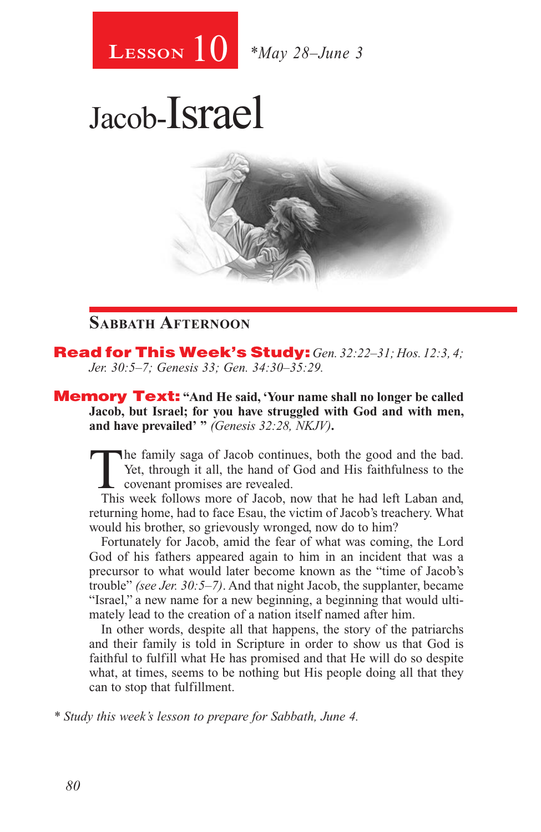

## Jacob-Israel



## **Sabbath Afternoon**

Read for This Week's Study: *Gen. 32:22–31; Hos. 12:3, 4; Jer. 30:5–7; Genesis 33; Gen. 34:30–35:29.*

Memory Text: **"And He said, 'Your name shall no longer be called Jacob, but Israel; for you have struggled with God and with men, and have prevailed' "** *(Genesis 32:28, NKJV)***.**

The family saga of Jacob continues, both the good and the bad.<br>
Yet, through it all, the hand of God and His faithfulness to the<br>
covenant promises are revealed.<br>
This week follows more of Jacob now that he had left I aban Yet, through it all, the hand of God and His faithfulness to the covenant promises are revealed.

This week follows more of Jacob, now that he had left Laban and, returning home, had to face Esau, the victim of Jacob's treachery. What would his brother, so grievously wronged, now do to him?

Fortunately for Jacob, amid the fear of what was coming, the Lord God of his fathers appeared again to him in an incident that was a precursor to what would later become known as the "time of Jacob's trouble" *(see Jer. 30:5–7)*. And that night Jacob, the supplanter, became "Israel," a new name for a new beginning, a beginning that would ultimately lead to the creation of a nation itself named after him.

In other words, despite all that happens, the story of the patriarchs and their family is told in Scripture in order to show us that God is faithful to fulfill what He has promised and that He will do so despite what, at times, seems to be nothing but His people doing all that they can to stop that fulfillment.

*\* Study this week's lesson to prepare for Sabbath, June 4.*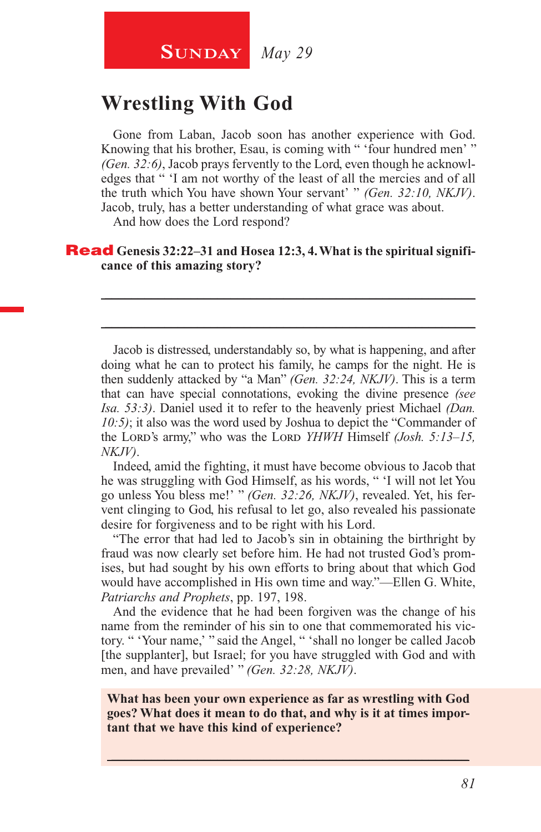## **SUNDAY** *May 29*

## **Wrestling With God**

Gone from Laban, Jacob soon has another experience with God. Knowing that his brother, Esau, is coming with " 'four hundred men' " *(Gen. 32:6)*, Jacob prays fervently to the Lord, even though he acknowledges that " 'I am not worthy of the least of all the mercies and of all the truth which You have shown Your servant' " *(Gen. 32:10, NKJV)*. Jacob, truly, has a better understanding of what grace was about.

And how does the Lord respond?

#### **Read** Genesis 32:22–31 and Hosea 12:3, 4. What is the spiritual signifi**cance of this amazing story?**

Jacob is distressed, understandably so, by what is happening, and after doing what he can to protect his family, he camps for the night. He is then suddenly attacked by "a Man" *(Gen. 32:24, NKJV)*. This is a term that can have special connotations, evoking the divine presence *(see Isa. 53:3)*. Daniel used it to refer to the heavenly priest Michael *(Dan. 10:5)*; it also was the word used by Joshua to depict the "Commander of the Lord's army," who was the Lord *YHWH* Himself *(Josh. 5:13–15, NKJV)*.

\_\_\_\_\_\_\_\_\_\_\_\_\_\_\_\_\_\_\_\_\_\_\_\_\_\_\_\_\_\_\_\_\_\_\_\_\_\_\_\_\_\_\_\_\_\_\_\_\_\_\_\_\_\_\_\_

\_\_\_\_\_\_\_\_\_\_\_\_\_\_\_\_\_\_\_\_\_\_\_\_\_\_\_\_\_\_\_\_\_\_\_\_\_\_\_\_\_\_\_\_\_\_\_\_\_\_\_\_\_\_\_\_

Indeed, amid the fighting, it must have become obvious to Jacob that he was struggling with God Himself, as his words, " 'I will not let You go unless You bless me!' " *(Gen. 32:26, NKJV)*, revealed. Yet, his fervent clinging to God, his refusal to let go, also revealed his passionate desire for forgiveness and to be right with his Lord.

"The error that had led to Jacob's sin in obtaining the birthright by fraud was now clearly set before him. He had not trusted God's promises, but had sought by his own efforts to bring about that which God would have accomplished in His own time and way."—Ellen G. White, *Patriarchs and Prophets*, pp. 197, 198.

And the evidence that he had been forgiven was the change of his name from the reminder of his sin to one that commemorated his victory. " 'Your name,' " said the Angel, " 'shall no longer be called Jacob [the supplanter], but Israel; for you have struggled with God and with men, and have prevailed' " *(Gen. 32:28, NKJV)*.

**What has been your own experience as far as wrestling with God goes? What does it mean to do that, and why is it at times important that we have this kind of experience?**

 $\_$  , and the set of the set of the set of the set of the set of the set of the set of the set of the set of the set of the set of the set of the set of the set of the set of the set of the set of the set of the set of th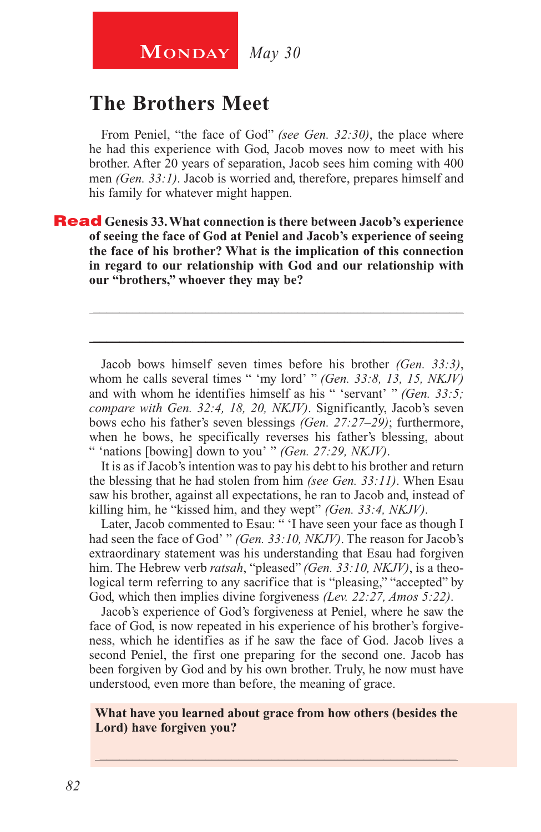## **The Brothers Meet**

From Peniel, "the face of God" *(see Gen. 32:30)*, the place where he had this experience with God, Jacob moves now to meet with his brother. After 20 years of separation, Jacob sees him coming with 400 men *(Gen. 33:1)*. Jacob is worried and, therefore, prepares himself and his family for whatever might happen.

Read **Genesis 33. What connection is there between Jacob's experience of seeing the face of God at Peniel and Jacob's experience of seeing the face of his brother? What is the implication of this connection in regard to our relationship with God and our relationship with our "brothers," whoever they may be?**

Jacob bows himself seven times before his brother *(Gen. 33:3)*, whom he calls several times " 'my lord' " *(Gen. 33:8, 13, 15, NKJV)*  and with whom he identifies himself as his " 'servant' " *(Gen. 33:5; compare with Gen. 32:4, 18, 20, NKJV)*. Significantly, Jacob's seven bows echo his father's seven blessings *(Gen. 27:27–29)*; furthermore, when he bows, he specifically reverses his father's blessing, about " 'nations [bowing] down to you' " *(Gen. 27:29, NKJV)*.

\_\_\_\_\_\_\_\_\_\_\_\_\_\_\_\_\_\_\_\_\_\_\_\_\_\_\_\_\_\_\_\_\_\_\_\_\_\_\_\_\_\_\_\_\_\_\_\_\_\_\_\_\_\_\_\_

\_\_\_\_\_\_\_\_\_\_\_\_\_\_\_\_\_\_\_\_\_\_\_\_\_\_\_\_\_\_\_\_\_\_\_\_\_\_\_\_\_\_\_\_\_\_\_\_\_\_\_\_\_\_\_\_

It is as if Jacob's intention was to pay his debt to his brother and return the blessing that he had stolen from him *(see Gen. 33:11)*. When Esau saw his brother, against all expectations, he ran to Jacob and, instead of killing him, he "kissed him, and they wept" *(Gen. 33:4, NKJV)*.

Later, Jacob commented to Esau: " 'I have seen your face as though I had seen the face of God' " *(Gen. 33:10, NKJV)*. The reason for Jacob's extraordinary statement was his understanding that Esau had forgiven him. The Hebrew verb *ratsah*, "pleased" *(Gen. 33:10, NKJV)*, is a theological term referring to any sacrifice that is "pleasing," "accepted" by God, which then implies divine forgiveness *(Lev. 22:27, Amos 5:22)*.

Jacob's experience of God's forgiveness at Peniel, where he saw the face of God, is now repeated in his experience of his brother's forgiveness, which he identifies as if he saw the face of God. Jacob lives a second Peniel, the first one preparing for the second one. Jacob has been forgiven by God and by his own brother. Truly, he now must have understood, even more than before, the meaning of grace.

#### **What have you learned about grace from how others (besides the Lord) have forgiven you?**

\_\_\_\_\_\_\_\_\_\_\_\_\_\_\_\_\_\_\_\_\_\_\_\_\_\_\_\_\_\_\_\_\_\_\_\_\_\_\_\_\_\_\_\_\_\_\_\_\_\_\_\_\_\_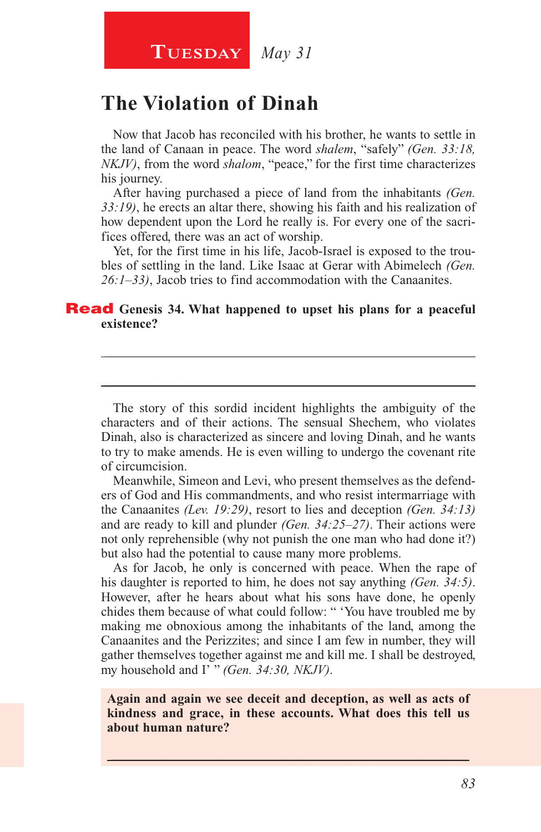**Tuesday** *May 31*

## **The Violation of Dinah**

Now that Jacob has reconciled with his brother, he wants to settle in the land of Canaan in peace. The word *shalem*, "safely" *(Gen. 33:18, NKJV)*, from the word *shalom*, "peace," for the first time characterizes his journey.

After having purchased a piece of land from the inhabitants *(Gen. 33:19)*, he erects an altar there, showing his faith and his realization of how dependent upon the Lord he really is. For every one of the sacrifices offered, there was an act of worship.

Yet, for the first time in his life, Jacob-Israel is exposed to the troubles of settling in the land. Like Isaac at Gerar with Abimelech *(Gen. 26:1–33)*, Jacob tries to find accommodation with the Canaanites.

\_\_\_\_\_\_\_\_\_\_\_\_\_\_\_\_\_\_\_\_\_\_\_\_\_\_\_\_\_\_\_\_\_\_\_\_\_\_\_\_\_\_\_\_\_\_\_\_\_\_\_\_\_\_\_\_

\_\_\_\_\_\_\_\_\_\_\_\_\_\_\_\_\_\_\_\_\_\_\_\_\_\_\_\_\_\_\_\_\_\_\_\_\_\_\_\_\_\_\_\_\_\_\_\_\_\_\_\_\_\_\_\_

#### Read **Genesis 34. What happened to upset his plans for a peaceful existence?**

The story of this sordid incident highlights the ambiguity of the characters and of their actions. The sensual Shechem, who violates Dinah, also is characterized as sincere and loving Dinah, and he wants to try to make amends. He is even willing to undergo the covenant rite of circumcision.

Meanwhile, Simeon and Levi, who present themselves as the defenders of God and His commandments, and who resist intermarriage with the Canaanites *(Lev. 19:29)*, resort to lies and deception *(Gen. 34:13)*  and are ready to kill and plunder *(Gen. 34:25–27)*. Their actions were not only reprehensible (why not punish the one man who had done it?) but also had the potential to cause many more problems.

As for Jacob, he only is concerned with peace. When the rape of his daughter is reported to him, he does not say anything *(Gen. 34:5)*. However, after he hears about what his sons have done, he openly chides them because of what could follow: " 'You have troubled me by making me obnoxious among the inhabitants of the land, among the Canaanites and the Perizzites; and since I am few in number, they will gather themselves together against me and kill me. I shall be destroyed, my household and I' " *(Gen. 34:30, NKJV)*.

**Again and again we see deceit and deception, as well as acts of kindness and grace, in these accounts. What does this tell us about human nature?**

 $\_$  , and the set of the set of the set of the set of the set of the set of the set of the set of the set of the set of the set of the set of the set of the set of the set of the set of the set of the set of the set of th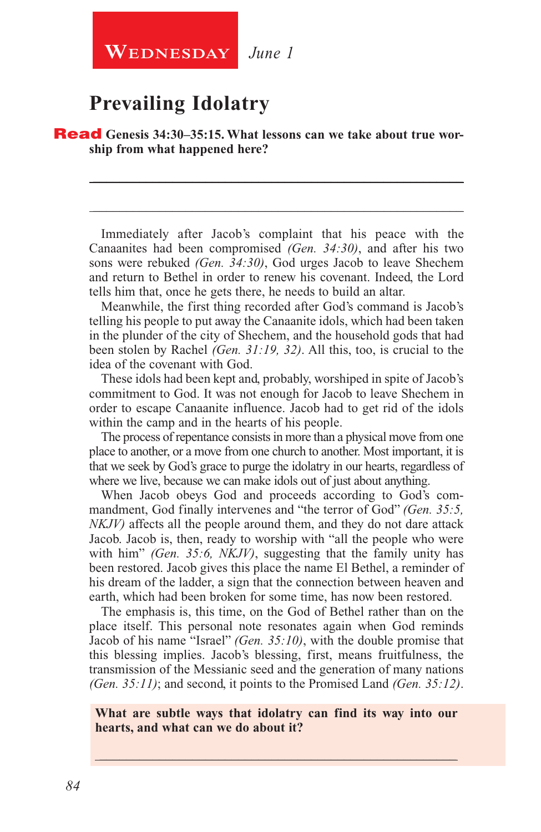## **Prevailing Idolatry**

**Read** Genesis 34:30–35:15. What lessons can we take about true wor**ship from what happened here?**

Immediately after Jacob's complaint that his peace with the Canaanites had been compromised *(Gen. 34:30)*, and after his two sons were rebuked *(Gen. 34:30)*, God urges Jacob to leave Shechem and return to Bethel in order to renew his covenant. Indeed, the Lord tells him that, once he gets there, he needs to build an altar.

\_\_\_\_\_\_\_\_\_\_\_\_\_\_\_\_\_\_\_\_\_\_\_\_\_\_\_\_\_\_\_\_\_\_\_\_\_\_\_\_\_\_\_\_\_\_\_\_\_\_\_\_\_\_\_\_

\_\_\_\_\_\_\_\_\_\_\_\_\_\_\_\_\_\_\_\_\_\_\_\_\_\_\_\_\_\_\_\_\_\_\_\_\_\_\_\_\_\_\_\_\_\_\_\_\_\_\_\_\_\_\_\_

Meanwhile, the first thing recorded after God's command is Jacob's telling his people to put away the Canaanite idols, which had been taken in the plunder of the city of Shechem, and the household gods that had been stolen by Rachel *(Gen. 31:19, 32)*. All this, too, is crucial to the idea of the covenant with God.

These idols had been kept and, probably, worshiped in spite of Jacob's commitment to God. It was not enough for Jacob to leave Shechem in order to escape Canaanite influence. Jacob had to get rid of the idols within the camp and in the hearts of his people.

The process of repentance consists in more than a physical move from one place to another, or a move from one church to another. Most important, it is that we seek by God's grace to purge the idolatry in our hearts, regardless of where we live, because we can make idols out of just about anything.

When Jacob obeys God and proceeds according to God's commandment, God finally intervenes and "the terror of God" *(Gen. 35:5, NKJV)* affects all the people around them, and they do not dare attack Jacob. Jacob is, then, ready to worship with "all the people who were with him" *(Gen. 35:6, NKJV)*, suggesting that the family unity has been restored. Jacob gives this place the name El Bethel, a reminder of his dream of the ladder, a sign that the connection between heaven and earth, which had been broken for some time, has now been restored.

The emphasis is, this time, on the God of Bethel rather than on the place itself. This personal note resonates again when God reminds Jacob of his name "Israel" *(Gen. 35:10)*, with the double promise that this blessing implies. Jacob's blessing, first, means fruitfulness, the transmission of the Messianic seed and the generation of many nations *(Gen. 35:11)*; and second, it points to the Promised Land *(Gen. 35:12)*.

#### **What are subtle ways that idolatry can find its way into our hearts, and what can we do about it?**

\_\_\_\_\_\_\_\_\_\_\_\_\_\_\_\_\_\_\_\_\_\_\_\_\_\_\_\_\_\_\_\_\_\_\_\_\_\_\_\_\_\_\_\_\_\_\_\_\_\_\_\_\_\_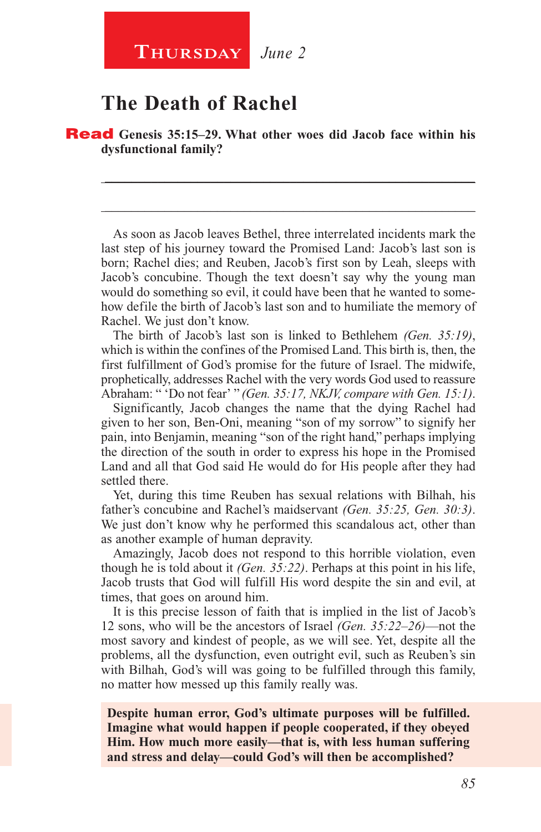### **Thursday** *June 2*

## **The Death of Rachel**

Read **Genesis 35:15–29. What other woes did Jacob face within his dysfunctional family?**

As soon as Jacob leaves Bethel, three interrelated incidents mark the last step of his journey toward the Promised Land: Jacob's last son is born; Rachel dies; and Reuben, Jacob's first son by Leah, sleeps with Jacob's concubine. Though the text doesn't say why the young man would do something so evil, it could have been that he wanted to somehow defile the birth of Jacob's last son and to humiliate the memory of Rachel. We just don't know.

\_\_\_\_\_\_\_\_\_\_\_\_\_\_\_\_\_\_\_\_\_\_\_\_\_\_\_\_\_\_\_\_\_\_\_\_\_\_\_\_\_\_\_\_\_\_\_\_\_\_\_\_\_\_\_\_

\_\_\_\_\_\_\_\_\_\_\_\_\_\_\_\_\_\_\_\_\_\_\_\_\_\_\_\_\_\_\_\_\_\_\_\_\_\_\_\_\_\_\_\_\_\_\_\_\_\_\_\_\_\_\_\_

The birth of Jacob's last son is linked to Bethlehem *(Gen. 35:19)*, which is within the confines of the Promised Land. This birth is, then, the first fulfillment of God's promise for the future of Israel. The midwife, prophetically, addresses Rachel with the very words God used to reassure Abraham: " 'Do not fear' " *(Gen. 35:17, NKJV, compare with Gen. 15:1)*.

Significantly, Jacob changes the name that the dying Rachel had given to her son, Ben-Oni, meaning "son of my sorrow" to signify her pain, into Benjamin, meaning "son of the right hand," perhaps implying the direction of the south in order to express his hope in the Promised Land and all that God said He would do for His people after they had settled there.

Yet, during this time Reuben has sexual relations with Bilhah, his father's concubine and Rachel's maidservant *(Gen. 35:25, Gen. 30:3)*. We just don't know why he performed this scandalous act, other than as another example of human depravity.

Amazingly, Jacob does not respond to this horrible violation, even though he is told about it *(Gen. 35:22)*. Perhaps at this point in his life, Jacob trusts that God will fulfill His word despite the sin and evil, at times, that goes on around him.

It is this precise lesson of faith that is implied in the list of Jacob's 12 sons, who will be the ancestors of Israel *(Gen. 35:22–26)*—not the most savory and kindest of people, as we will see. Yet, despite all the problems, all the dysfunction, even outright evil, such as Reuben's sin with Bilhah, God's will was going to be fulfilled through this family, no matter how messed up this family really was.

**Despite human error, God's ultimate purposes will be fulfilled. Imagine what would happen if people cooperated, if they obeyed Him. How much more easily—that is, with less human suffering and stress and delay—could God's will then be accomplished?**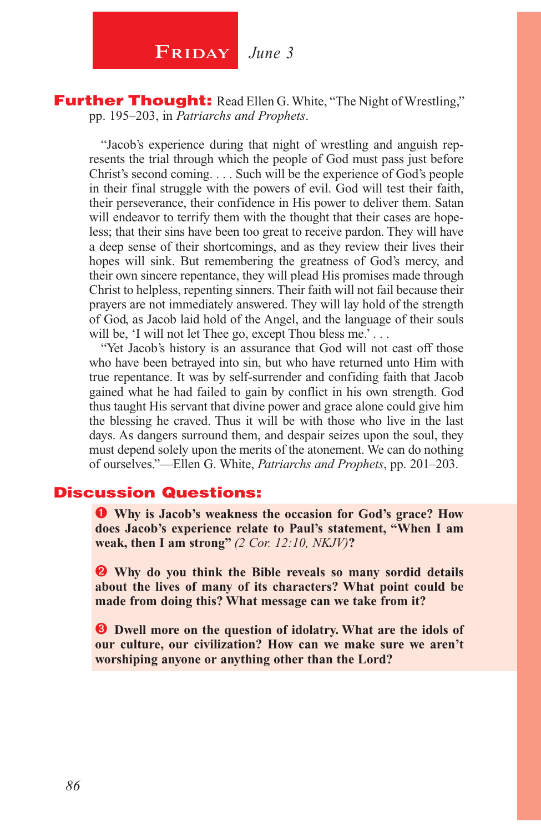**FRIDAY** June 3

#### **Further Thought:** Read Ellen G. White, "The Night of Wrestling," pp. 195–203, in *Patriarchs and Prophets*.

"Jacob's experience during that night of wrestling and anguish represents the trial through which the people of God must pass just before Christ's second coming. . . . Such will be the experience of God's people in their final struggle with the powers of evil. God will test their faith, their perseverance, their confidence in His power to deliver them. Satan will endeavor to terrify them with the thought that their cases are hopeless; that their sins have been too great to receive pardon. They will have a deep sense of their shortcomings, and as they review their lives their hopes will sink. But remembering the greatness of God's mercy, and their own sincere repentance, they will plead His promises made through Christ to helpless, repenting sinners. Their faith will not fail because their prayers are not immediately answered. They will lay hold of the strength of God, as Jacob laid hold of the Angel, and the language of their souls will be, 'I will not let Thee go, except Thou bless me.' . . .

"Yet Jacob's history is an assurance that God will not cast off those who have been betrayed into sin, but who have returned unto Him with true repentance. It was by self-surrender and confiding faith that Jacob gained what he had failed to gain by conflict in his own strength. God thus taught His servant that divine power and grace alone could give him the blessing he craved. Thus it will be with those who live in the last days. As dangers surround them, and despair seizes upon the soul, they must depend solely upon the merits of the atonement. We can do nothing of ourselves."—Ellen G. White, *Patriarchs and Prophets*, pp. 201–203.

### Discussion Questions:

 **Why is Jacob's weakness the occasion for God's grace? How does Jacob's experience relate to Paul's statement, "When I am weak, then I am strong"** *(2 Cor. 12:10, NKJV)***?**

 **Why do you think the Bible reveals so many sordid details about the lives of many of its characters? What point could be made from doing this? What message can we take from it?**

 $\bullet$  Dwell more on the question of idolatry. What are the idols of **our culture, our civilization? How can we make sure we aren't worshiping anyone or anything other than the Lord?**